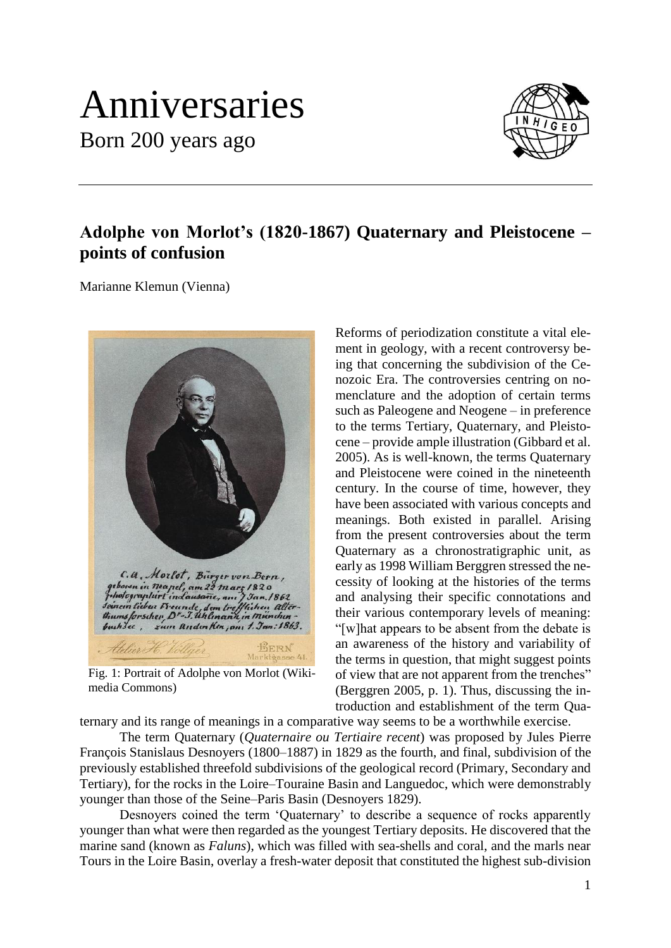## Anniversaries Born 200 years ago



## **Adolphe von Morlot's (1820-1867) Quaternary and Pleistocene – points of confusion**

Marianne Klemun (Vienna)



Fig. 1: Portrait of Adolphe von Morlot (Wikimedia Commons)

Reforms of periodization constitute a vital element in geology, with a recent controversy being that concerning the subdivision of the Cenozoic Era. The controversies centring on nomenclature and the adoption of certain terms such as Paleogene and Neogene – in preference to the terms Tertiary, Quaternary, and Pleistocene – provide ample illustration (Gibbard et al. 2005). As is well-known, the terms Quaternary and Pleistocene were coined in the nineteenth century. In the course of time, however, they have been associated with various concepts and meanings. Both existed in parallel. Arising from the present controversies about the term Quaternary as a chronostratigraphic unit, as early as 1998 William Berggren stressed the necessity of looking at the histories of the terms and analysing their specific connotations and their various contemporary levels of meaning: "[w]hat appears to be absent from the debate is an awareness of the history and variability of the terms in question, that might suggest points of view that are not apparent from the trenches" (Berggren 2005, p. 1). Thus, discussing the introduction and establishment of the term Qua-

ternary and its range of meanings in a comparative way seems to be a worthwhile exercise.

The term Quaternary (*Quaternaire ou Tertiaire recent*) was proposed by Jules Pierre François Stanislaus Desnoyers (1800–1887) in 1829 as the fourth, and final, subdivision of the previously established threefold subdivisions of the geological record (Primary, Secondary and Tertiary), for the rocks in the Loire–Touraine Basin and Languedoc, which were demonstrably younger than those of the Seine–Paris Basin (Desnoyers 1829).

Desnoyers coined the term 'Quaternary' to describe a sequence of rocks apparently younger than what were then regarded as the youngest Tertiary deposits. He discovered that the marine sand (known as *Faluns*), which was filled with sea-shells and coral, and the marls near Tours in the Loire Basin, overlay a fresh-water deposit that constituted the highest sub-division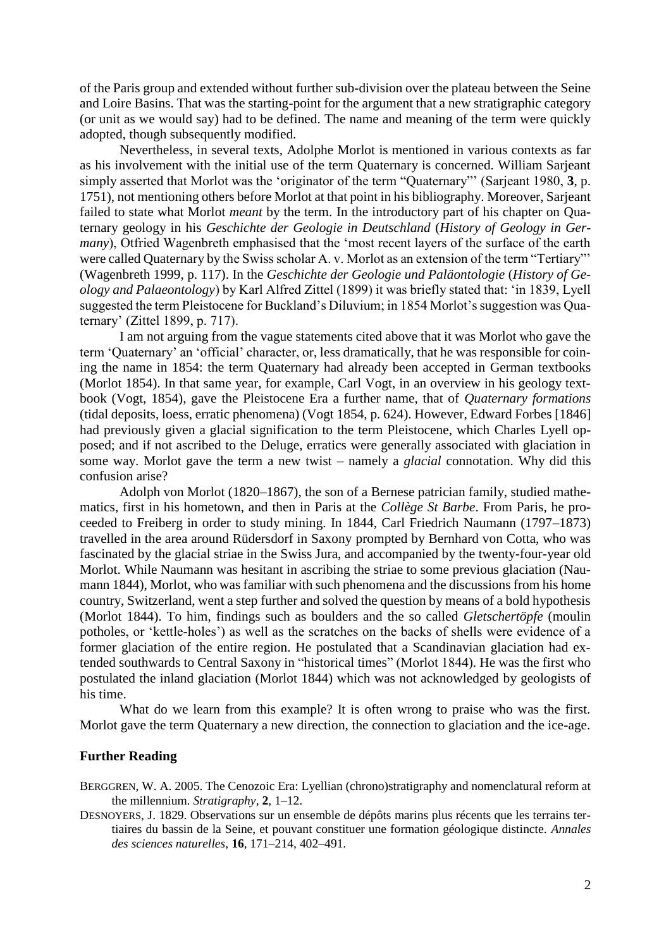of the Paris group and extended without further sub-division over the plateau between the Seine and Loire Basins. That was the starting-point for the argument that a new stratigraphic category (or unit as we would say) had to be defined. The name and meaning of the term were quickly adopted, though subsequently modified.

Nevertheless, in several texts, Adolphe Morlot is mentioned in various contexts as far as his involvement with the initial use of the term Quaternary is concerned. William Sarjeant simply asserted that Morlot was the 'originator of the term "Quaternary"' (Sarjeant 1980, **3**, p. 1751), not mentioning others before Morlot at that point in his bibliography. Moreover, Sarjeant failed to state what Morlot *meant* by the term. In the introductory part of his chapter on Quaternary geology in his *Geschichte der Geologie in Deutschland* (*History of Geology in Germany*), Otfried Wagenbreth emphasised that the 'most recent layers of the surface of the earth were called Quaternary by the Swiss scholar A. v. Morlot as an extension of the term "Tertiary"' (Wagenbreth 1999, p. 117). In the *Geschichte der Geologie und Paläontologie* (*History of Geology and Palaeontology*) by Karl Alfred Zittel (1899) it was briefly stated that: 'in 1839, Lyell suggested the term Pleistocene for Buckland's Diluvium; in 1854 Morlot's suggestion was Quaternary' (Zittel 1899, p. 717).

I am not arguing from the vague statements cited above that it was Morlot who gave the term 'Quaternary' an 'official' character, or, less dramatically, that he was responsible for coining the name in 1854: the term Quaternary had already been accepted in German textbooks (Morlot 1854). In that same year, for example, Carl Vogt, in an overview in his geology textbook (Vogt, 1854), gave the Pleistocene Era a further name, that of *Quaternary formations* (tidal deposits, loess, erratic phenomena) (Vogt 1854, p. 624). However, Edward Forbes [1846] had previously given a glacial signification to the term Pleistocene, which Charles Lyell opposed; and if not ascribed to the Deluge, erratics were generally associated with glaciation in some way. Morlot gave the term a new twist – namely a *glacial* connotation. Why did this confusion arise?

Adolph von Morlot (1820–1867), the son of a Bernese patrician family, studied mathematics, first in his hometown, and then in Paris at the *Collège St Barbe*. From Paris, he proceeded to Freiberg in order to study mining. In 1844, Carl Friedrich Naumann (1797–1873) travelled in the area around Rüdersdorf in Saxony prompted by Bernhard von Cotta, who was fascinated by the glacial striae in the Swiss Jura, and accompanied by the twenty-four-year old Morlot. While Naumann was hesitant in ascribing the striae to some previous glaciation (Naumann 1844), Morlot, who was familiar with such phenomena and the discussions from his home country, Switzerland, went a step further and solved the question by means of a bold hypothesis (Morlot 1844). To him, findings such as boulders and the so called *Gletschertöpfe* (moulin potholes, or 'kettle-holes') as well as the scratches on the backs of shells were evidence of a former glaciation of the entire region. He postulated that a Scandinavian glaciation had extended southwards to Central Saxony in "historical times" (Morlot 1844). He was the first who postulated the inland glaciation (Morlot 1844) which was not acknowledged by geologists of his time.

What do we learn from this example? It is often wrong to praise who was the first. Morlot gave the term Quaternary a new direction, the connection to glaciation and the ice-age.

## **Further Reading**

BERGGREN, W. A. 2005. The Cenozoic Era: Lyellian (chrono)stratigraphy and nomenclatural reform at the millennium. *Stratigraphy*, **2**, 1–12.

DESNOYERS, J. 1829. Observations sur un ensemble de dépôts marins plus récents que les terrains tertiaires du bassin de la Seine, et pouvant constituer une formation géologique distincte. *Annales des sciences naturelles*, **16**, 171–214, 402–491.